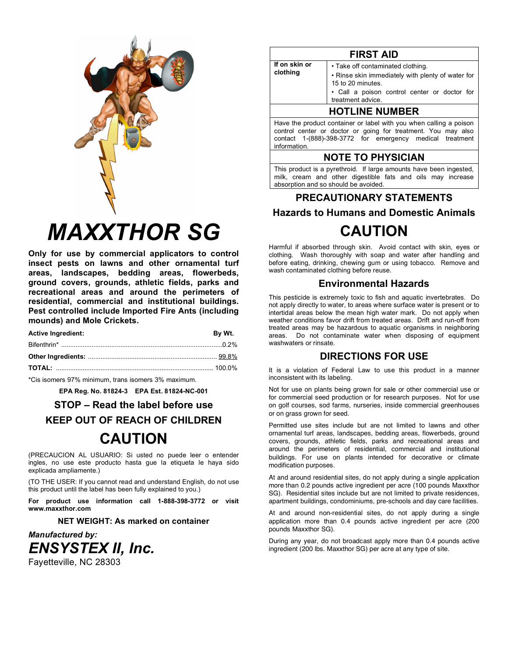

# **MAXXTHOR SG**

Only for use by commercial applicators to control insect pests on lawns and other ornamental turf areas, landscapes, bedding areas, flowerbeds, ground covers, grounds, athletic fields, parks and recreational areas and around the perimeters of residential, commercial and institutional buildings. Pest controlled include Imported Fire Ants (including mounds) and Mole Crickets.

| <b>Active Ingredient:</b> | By Wt. |
|---------------------------|--------|
|                           |        |
|                           |        |
|                           |        |
|                           |        |

\*Cis isomers 97% minimum, trans isomers 3% maximum.

EPA Reg. No. 81824-3 EPA Est. 81824-NC-001

### STOP – Read the label before use

# **KEEP OUT OF REACH OF CHILDREN**

# **CAUTION**

(PRECAUCION AL USUARIO: Si usted no puede leer o entender ingles, no use este producto hasta que la etiqueta le haya sido explicada ampliamente.)

(TO THE USER: If you cannot read and understand English, do not use this product until the label has been fully explained to you.)

For product use information call 1-888-398-3772 or visit www.maxxthor.com

**NET WEIGHT: As marked on container** 

**Manufactured by: ENSYSTEX II, Inc.** Fayetteville, NC 28303

|               | <b>FIRST AID</b>                                                       |
|---------------|------------------------------------------------------------------------|
| If on skin or | • Take off contaminated clothing.                                      |
| clothing      | • Rinse skin immediately with plenty of water for<br>15 to 20 minutes. |
|               | · Call a poison control center or doctor for<br>treatment advice.      |
|               | HOTI INE NIIMRER                                                       |

### UTLINE NUMBER

Have the product container or label with you when calling a poison control center or doctor or going for treatment. You may also contact 1-(888)-398-3772 for emergency medical treatment information.

# **NOTE TO PHYSICIAN**

This product is a pyrethroid. If large amounts have been ingested, milk, cream and other digestible fats and oils may increase absorption and so should be avoided.

# PRECAUTIONARY STATEMENTS **Hazards to Humans and Domestic Animals CAUTION**

Harmful if absorbed through skin. Avoid contact with skin, eyes or clothing. Wash thoroughly with soap and water after handling and before eating, drinking, chewing gum or using tobacco. Remove and wash contaminated clothing before reuse.

# **Environmental Hazards**

This pesticide is extremely toxic to fish and aquatic invertebrates. Do not apply directly to water, to areas where surface water is present or to intertidal areas below the mean high water mark. Do not apply when weather conditions favor drift from treated areas. Drift and run-off from treated areas may be hazardous to aquatic organisms in neighboring areas. Do not contaminate water when disposing of equipment washwaters or rinsate.

# **DIRECTIONS FOR USE**

It is a violation of Federal Law to use this product in a manner inconsistent with its labeling.

Not for use on plants being grown for sale or other commercial use or for commercial seed production or for research purposes. Not for use on golf courses, sod farms, nurseries, inside commercial greenhouses or on grass grown for seed.

Permitted use sites include but are not limited to lawns and other ornamental turf areas, landscapes, bedding areas, flowerbeds, ground covers, grounds, athletic fields, parks and recreational areas and around the perimeters of residential, commercial and institutional buildings. For use on plants intended for decorative or climate modification purposes.

At and around residential sites, do not apply during a single application more than 0.2 pounds active ingredient per acre (100 pounds Maxxthor SG). Residential sites include but are not limited to private residences. apartment buildings, condominiums, pre-schools and day care facilities.

At and around non-residential sites, do not apply during a single application more than 0.4 pounds active ingredient per acre (200 pounds Maxxthor SG).

During any year, do not broadcast apply more than 0.4 pounds active ingredient (200 lbs. Maxxthor SG) per acre at any type of site.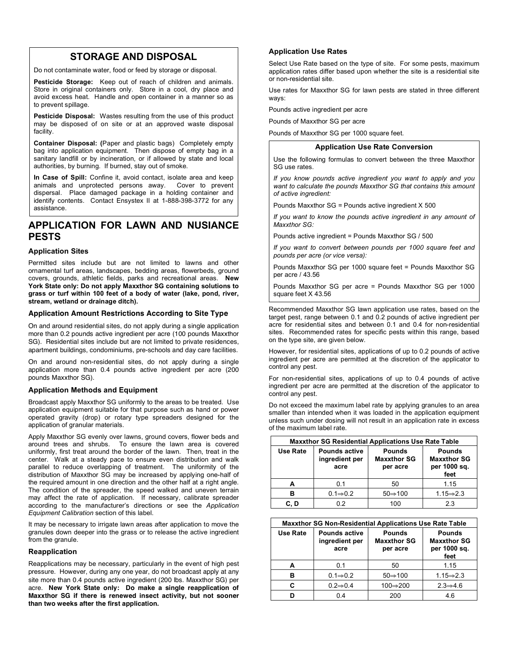# **STORAGE AND DISPOSAL**

Do not contaminate water, food or feed by storage or disposal.

**Pesticide Storage:** Keep out of reach of children and animals. Store in original containers only. Store in a cool, dry place and avoid excess heat. Handle and open container in a manner so as to prevent spillage.

**Pesticide Disposal:** Wastes resulting from the use of this product may be disposed of on site or at an approved waste disposal facility.

**Container Disposal: (**Paper and plastic bags) Completely empty bag into application equipment. Then dispose of empty bag in a sanitary landfill or by incineration, or if allowed by state and local authorities, by burning. If burned, stay out of smoke.

**In Case of Spill:** Confine it, avoid contact, isolate area and keep animals and unprotected persons away. Cover to prevent dispersal. Place damaged package in a holding container and identify contents. Contact Ensystex II at 1-888-398-3772 for any assistance.

# **APPLICATION FOR LAWN AND NUSIANCE PESTS**

#### **Application Sites**

Permitted sites include but are not limited to lawns and other ornamental turf areas, landscapes, bedding areas, flowerbeds, ground covers, grounds, athletic fields, parks and recreational areas. **New York State only: Do not apply Maxxthor SG containing solutions to grass or turf within 100 feet of a body of water (lake, pond, river, stream, wetland or drainage ditch).**

#### **Application Amount Restrictions According to Site Type**

On and around residential sites, do not apply during a single application more than 0.2 pounds active ingredient per acre (100 pounds Maxxthor SG). Residential sites include but are not limited to private residences, apartment buildings, condominiums, pre-schools and day care facilities.

On and around non-residential sites, do not apply during a single application more than 0.4 pounds active ingredient per acre (200 pounds Maxxthor SG).

#### **Application Methods and Equipment**

Broadcast apply Maxxthor SG uniformly to the areas to be treated. Use application equipment suitable for that purpose such as hand or power operated gravity (drop) or rotary type spreaders designed for the application of granular materials.

Apply Maxxthor SG evenly over lawns, ground covers, flower beds and around trees and shrubs. To ensure the lawn area is covered uniformly, first treat around the border of the lawn. Then, treat in the center. Walk at a steady pace to ensure even distribution and walk parallel to reduce overlapping of treatment. The uniformity of the distribution of Maxxthor SG may be increased by applying one-half of the required amount in one direction and the other half at a right angle. The condition of the spreader, the speed walked and uneven terrain may affect the rate of application. If necessary, calibrate spreader according to the manufacturer's directions or see the *Application Equipment Calibration* section of this label.

It may be necessary to irrigate lawn areas after application to move the granules down deeper into the grass or to release the active ingredient from the granule.

#### **Reapplication**

Reapplications may be necessary, particularly in the event of high pest pressure. However, during any one year, do not broadcast apply at any site more than 0.4 pounds active ingredient (200 lbs. Maxxthor SG) per acre. **New York State only: Do make a single reapplication of Maxxthor SG if there is renewed insect activity, but not sooner than two weeks after the first application.**

#### **Application Use Rates**

Select Use Rate based on the type of site. For some pests, maximum application rates differ based upon whether the site is a residential site or non-residential site.

Use rates for Maxxthor SG for lawn pests are stated in three different ways:

Pounds active ingredient per acre

Pounds of Maxxthor SG per acre

Pounds of Maxxthor SG per 1000 square feet.

#### **Application Use Rate Conversion**

Use the following formulas to convert between the three Maxxthor SG use rates.

*If you know pounds active ingredient you want to apply and you want to calculate the pounds Maxxthor SG that contains this amount of active ingredient:*

Pounds Maxxthor SG = Pounds active ingredient X 500

*If you want to know the pounds active ingredient in any amount of Maxxthor SG:*

Pounds active ingredient = Pounds Maxxthor SG / 500

*If you want to convert between pounds per 1000 square feet and pounds per acre (or vice versa):*

Pounds Maxxthor SG per 1000 square feet = Pounds Maxxthor SG per acre / 43.56

Pounds Maxxthor SG per acre = Pounds Maxxthor SG per 1000 square feet X 43.56

Recommended Maxxthor SG lawn application use rates, based on the target pest, range between 0.1 and 0.2 pounds of active ingredient per acre for residential sites and between 0.1 and 0.4 for non-residential sites. Recommended rates for specific pests within this range, based on the type site, are given below.

However, for residential sites, applications of up to 0.2 pounds of active ingredient per acre are permitted at the discretion of the applicator to control any pest.

For non-residential sites, applications of up to 0.4 pounds of active ingredient per acre are permitted at the discretion of the applicator to control any pest.

Do not exceed the maximum label rate by applying granules to an area smaller than intended when it was loaded in the application equipment unless such under dosing will not result in an application rate in excess of the maximum label rate.

| <b>Maxxthor SG Residential Applications Use Rate Table</b> |                                                |                                                 |                                                             |  |  |
|------------------------------------------------------------|------------------------------------------------|-------------------------------------------------|-------------------------------------------------------------|--|--|
| <b>Use Rate</b>                                            | <b>Pounds active</b><br>ingredient per<br>acre | <b>Pounds</b><br><b>Maxxthor SG</b><br>per acre | <b>Pounds</b><br><b>Maxxthor SG</b><br>per 1000 sq.<br>feet |  |  |
| А                                                          | 0.1                                            | 50                                              | 1.15                                                        |  |  |
| в                                                          | $0.1 \rightleftharpoons 0.2$                   | $50 \rightarrow 100$                            | $1.15 \rightarrow 2.3$                                      |  |  |
|                                                            | ი 2                                            | 100                                             | 23                                                          |  |  |

| <b>Maxxthor SG Non-Residential Applications Use Rate Table</b> |                                                |                                                 |                                                             |  |  |
|----------------------------------------------------------------|------------------------------------------------|-------------------------------------------------|-------------------------------------------------------------|--|--|
| Use Rate                                                       | <b>Pounds active</b><br>ingredient per<br>acre | <b>Pounds</b><br><b>Maxxthor SG</b><br>per acre | <b>Pounds</b><br><b>Maxxthor SG</b><br>per 1000 sq.<br>feet |  |  |
| A                                                              | 0.1                                            | 50                                              | 1.15                                                        |  |  |
| в                                                              | $0.1 \Rightarrow 0.2$                          | $50 \Rightarrow 100$                            | $1.15 \rightarrow 2.3$                                      |  |  |
| C                                                              | $0.2 \rightarrow 0.4$                          | 100⇒200                                         | $2.3 \rightarrow 4.6$                                       |  |  |
|                                                                | 0.4                                            | 200                                             | 4.6                                                         |  |  |